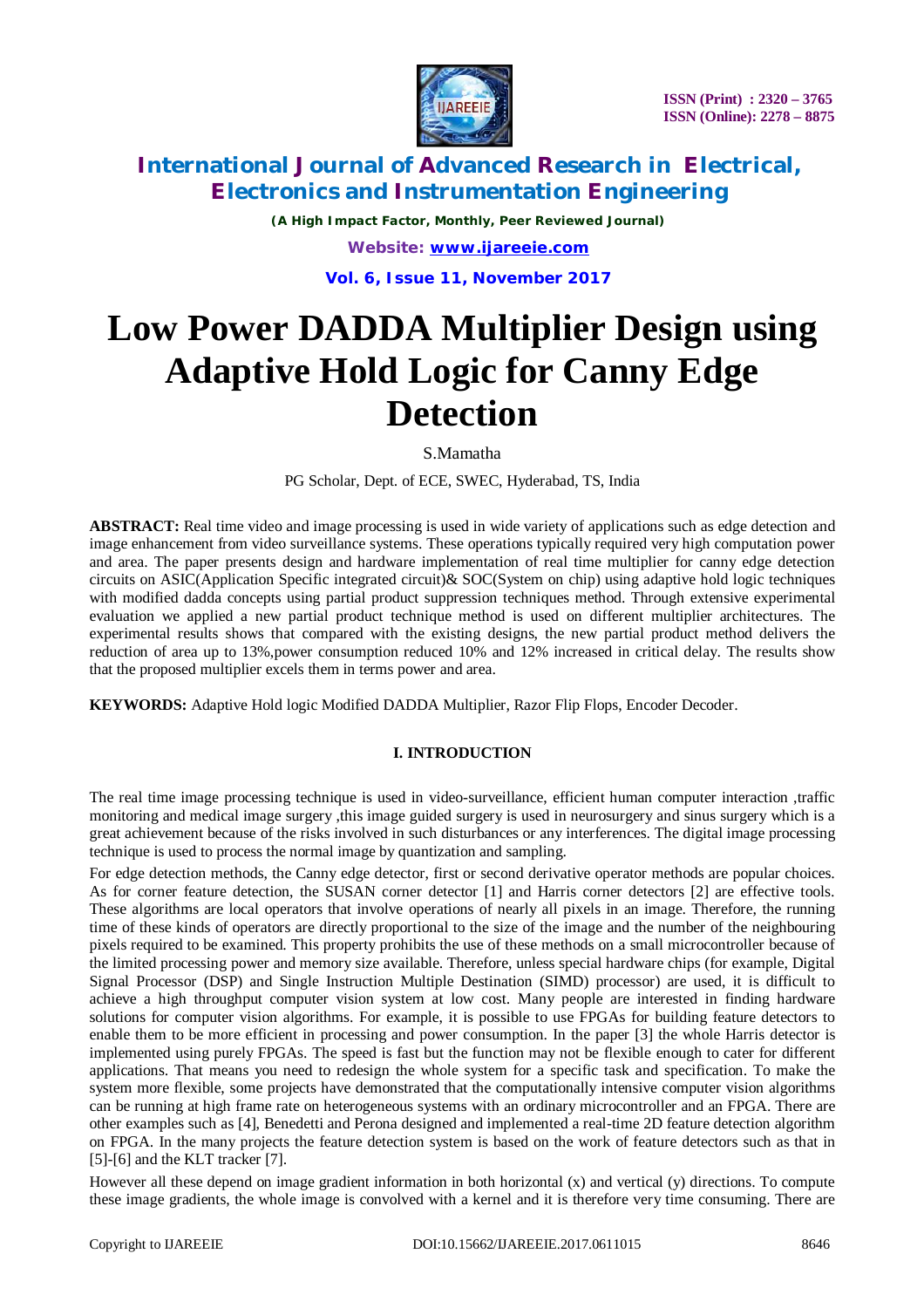

*(A High Impact Factor, Monthly, Peer Reviewed Journal) Website: [www.ijareeie.com](http://www.ijareeie.com)*

**Vol. 6, Issue 11, November 2017**

# **Low Power DADDA Multiplier Design using Adaptive Hold Logic for Canny Edge Detection**

S.Mamatha

PG Scholar, Dept. of ECE, SWEC, Hyderabad, TS, India

**ABSTRACT:** Real time video and image processing is used in wide variety of applications such as edge detection and image enhancement from video surveillance systems. These operations typically required very high computation power and area. The paper presents design and hardware implementation of real time multiplier for canny edge detection circuits on ASIC(Application Specific integrated circuit)& SOC(System on chip) using adaptive hold logic techniques with modified dadda concepts using partial product suppression techniques method. Through extensive experimental evaluation we applied a new partial product technique method is used on different multiplier architectures. The experimental results shows that compared with the existing designs, the new partial product method delivers the reduction of area up to 13%,power consumption reduced 10% and 12% increased in critical delay. The results show that the proposed multiplier excels them in terms power and area.

**KEYWORDS:** Adaptive Hold logic Modified DADDA Multiplier, Razor Flip Flops, Encoder Decoder.

### **I. INTRODUCTION**

The real time image processing technique is used in video-surveillance, efficient human computer interaction ,traffic monitoring and medical image surgery ,this image guided surgery is used in neurosurgery and sinus surgery which is a great achievement because of the risks involved in such disturbances or any interferences. The digital image processing technique is used to process the normal image by quantization and sampling.

For edge detection methods, the Canny edge detector, first or second derivative operator methods are popular choices. As for corner feature detection, the SUSAN corner detector [1] and Harris corner detectors [2] are effective tools. These algorithms are local operators that involve operations of nearly all pixels in an image. Therefore, the running time of these kinds of operators are directly proportional to the size of the image and the number of the neighbouring pixels required to be examined. This property prohibits the use of these methods on a small microcontroller because of the limited processing power and memory size available. Therefore, unless special hardware chips (for example, Digital Signal Processor (DSP) and Single Instruction Multiple Destination (SIMD) processor) are used, it is difficult to achieve a high throughput computer vision system at low cost. Many people are interested in finding hardware solutions for computer vision algorithms. For example, it is possible to use FPGAs for building feature detectors to enable them to be more efficient in processing and power consumption. In the paper [3] the whole Harris detector is implemented using purely FPGAs. The speed is fast but the function may not be flexible enough to cater for different applications. That means you need to redesign the whole system for a specific task and specification. To make the system more flexible, some projects have demonstrated that the computationally intensive computer vision algorithms can be running at high frame rate on heterogeneous systems with an ordinary microcontroller and an FPGA. There are other examples such as [4], Benedetti and Perona designed and implemented a real-time 2D feature detection algorithm on FPGA. In the many projects the feature detection system is based on the work of feature detectors such as that in [5]-[6] and the KLT tracker [7].

However all these depend on image gradient information in both horizontal (x) and vertical (y) directions. To compute these image gradients, the whole image is convolved with a kernel and it is therefore very time consuming. There are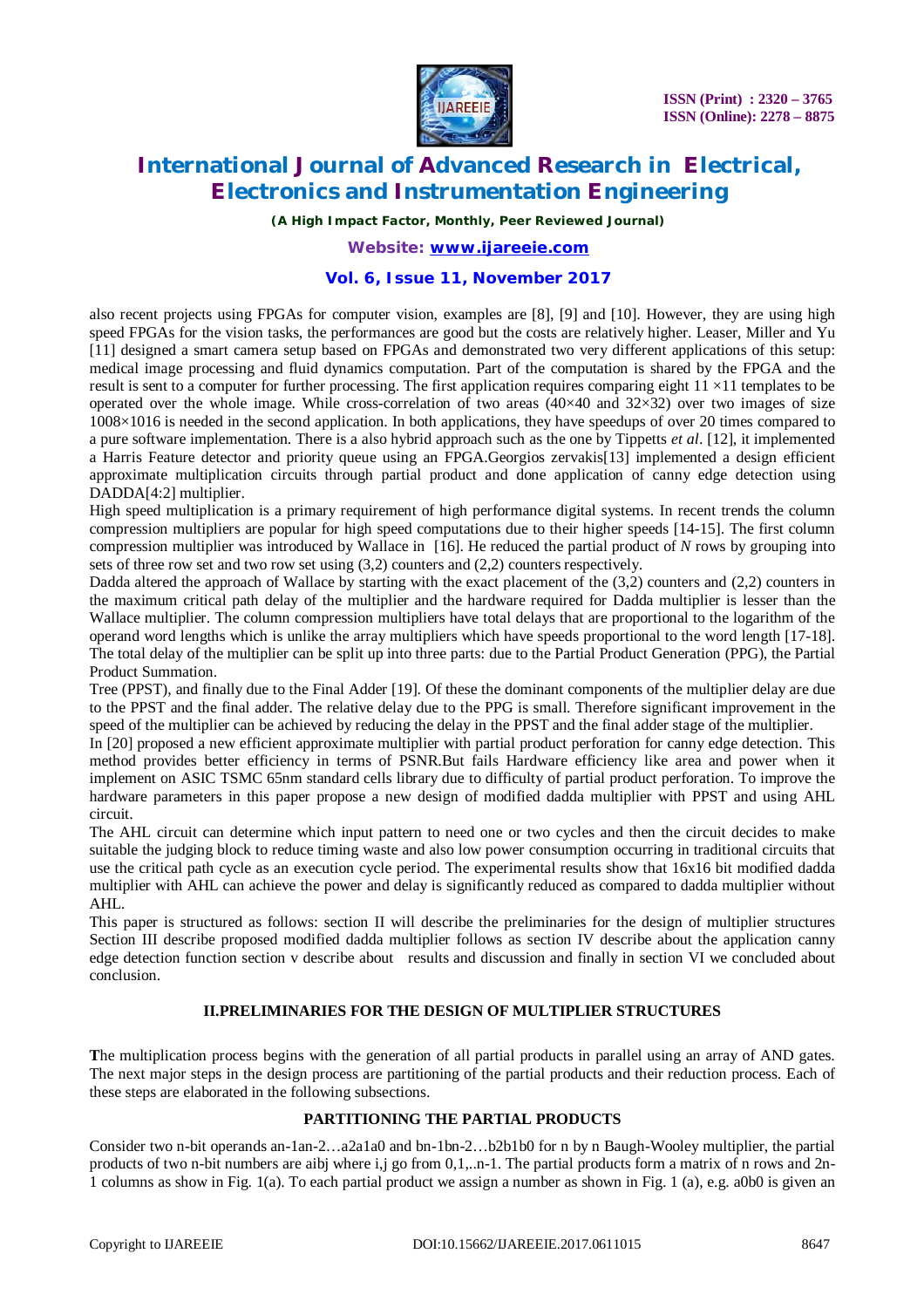

*(A High Impact Factor, Monthly, Peer Reviewed Journal)*

*Website: [www.ijareeie.com](http://www.ijareeie.com)*

### **Vol. 6, Issue 11, November 2017**

also recent projects using FPGAs for computer vision, examples are [8], [9] and [10]. However, they are using high speed FPGAs for the vision tasks, the performances are good but the costs are relatively higher. Leaser, Miller and Yu [11] designed a smart camera setup based on FPGAs and demonstrated two very different applications of this setup: medical image processing and fluid dynamics computation. Part of the computation is shared by the FPGA and the result is sent to a computer for further processing. The first application requires comparing eight  $11 \times 11$  templates to be operated over the whole image. While cross-correlation of two areas  $(40\times40$  and  $32\times32)$  over two images of size 1008×1016 is needed in the second application. In both applications, they have speedups of over 20 times compared to a pure software implementation. There is a also hybrid approach such as the one by Tippetts *et al*. [12], it implemented a Harris Feature detector and priority queue using an FPGA.Georgios zervakis[13] implemented a design efficient approximate multiplication circuits through partial product and done application of canny edge detection using DADDA[4:2] multiplier.

High speed multiplication is a primary requirement of high performance digital systems. In recent trends the column compression multipliers are popular for high speed computations due to their higher speeds [14-15]. The first column compression multiplier was introduced by Wallace in [16]. He reduced the partial product of *N* rows by grouping into sets of three row set and two row set using (3,2) counters and (2,2) counters respectively.

Dadda altered the approach of Wallace by starting with the exact placement of the (3,2) counters and (2,2) counters in the maximum critical path delay of the multiplier and the hardware required for Dadda multiplier is lesser than the Wallace multiplier. The column compression multipliers have total delays that are proportional to the logarithm of the operand word lengths which is unlike the array multipliers which have speeds proportional to the word length [17-18]. The total delay of the multiplier can be split up into three parts: due to the Partial Product Generation (PPG), the Partial Product Summation.

Tree (PPST), and finally due to the Final Adder [19]. Of these the dominant components of the multiplier delay are due to the PPST and the final adder. The relative delay due to the PPG is small. Therefore significant improvement in the speed of the multiplier can be achieved by reducing the delay in the PPST and the final adder stage of the multiplier.

In [20] proposed a new efficient approximate multiplier with partial product perforation for canny edge detection. This method provides better efficiency in terms of PSNR.But fails Hardware efficiency like area and power when it implement on ASIC TSMC 65nm standard cells library due to difficulty of partial product perforation. To improve the hardware parameters in this paper propose a new design of modified dadda multiplier with PPST and using AHL circuit.

The AHL circuit can determine which input pattern to need one or two cycles and then the circuit decides to make suitable the judging block to reduce timing waste and also low power consumption occurring in traditional circuits that use the critical path cycle as an execution cycle period. The experimental results show that 16x16 bit modified dadda multiplier with AHL can achieve the power and delay is significantly reduced as compared to dadda multiplier without AHL.

This paper is structured as follows: section II will describe the preliminaries for the design of multiplier structures Section III describe proposed modified dadda multiplier follows as section IV describe about the application canny edge detection function section v describe about results and discussion and finally in section VI we concluded about conclusion.

### **II.PRELIMINARIES FOR THE DESIGN OF MULTIPLIER STRUCTURES**

**T**he multiplication process begins with the generation of all partial products in parallel using an array of AND gates. The next major steps in the design process are partitioning of the partial products and their reduction process. Each of these steps are elaborated in the following subsections.

### **PARTITIONING THE PARTIAL PRODUCTS**

Consider two n-bit operands an-1an-2…a2a1a0 and bn-1bn-2…b2b1b0 for n by n Baugh-Wooley multiplier, the partial products of two n-bit numbers are aibj where i,j go from 0,1,..n-1. The partial products form a matrix of n rows and 2n-1 columns as show in Fig. 1(a). To each partial product we assign a number as shown in Fig. 1 (a), e.g. a0b0 is given an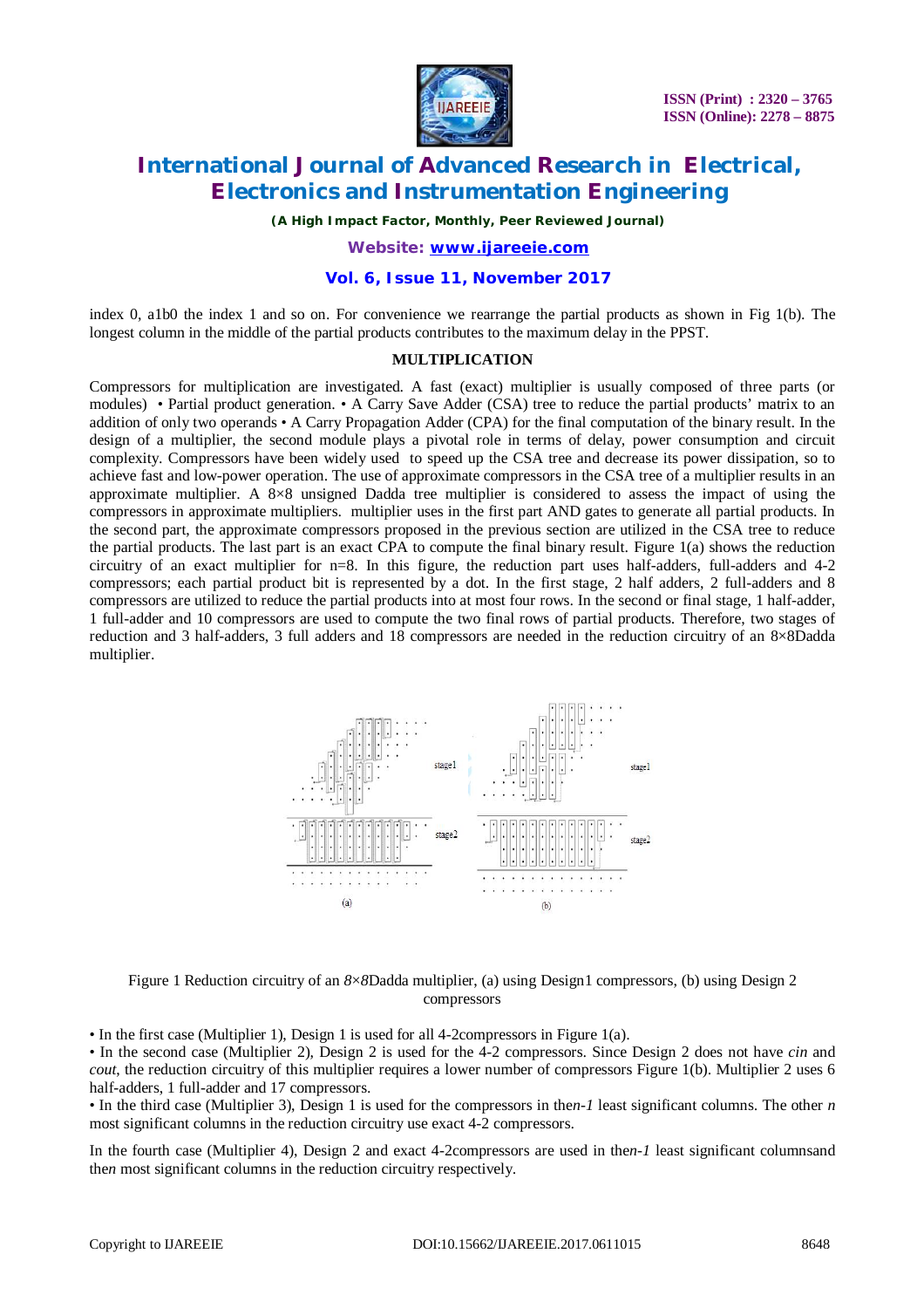

*(A High Impact Factor, Monthly, Peer Reviewed Journal)*

*Website: [www.ijareeie.com](http://www.ijareeie.com)*

### **Vol. 6, Issue 11, November 2017**

index 0, a1b0 the index 1 and so on. For convenience we rearrange the partial products as shown in Fig 1(b). The longest column in the middle of the partial products contributes to the maximum delay in the PPST.

#### **MULTIPLICATION**

Compressors for multiplication are investigated. A fast (exact) multiplier is usually composed of three parts (or modules) • Partial product generation. • A Carry Save Adder (CSA) tree to reduce the partial products' matrix to an addition of only two operands • A Carry Propagation Adder (CPA) for the final computation of the binary result. In the design of a multiplier, the second module plays a pivotal role in terms of delay, power consumption and circuit complexity. Compressors have been widely used to speed up the CSA tree and decrease its power dissipation, so to achieve fast and low-power operation. The use of approximate compressors in the CSA tree of a multiplier results in an approximate multiplier. A  $8\times8$  unsigned Dadda tree multiplier is considered to assess the impact of using the compressors in approximate multipliers. multiplier uses in the first part AND gates to generate all partial products. In the second part, the approximate compressors proposed in the previous section are utilized in the CSA tree to reduce the partial products. The last part is an exact CPA to compute the final binary result. Figure 1(a) shows the reduction circuitry of an exact multiplier for n=8. In this figure, the reduction part uses half-adders, full-adders and 4-2 compressors; each partial product bit is represented by a dot. In the first stage, 2 half adders, 2 full-adders and 8 compressors are utilized to reduce the partial products into at most four rows. In the second or final stage, 1 half-adder, 1 full-adder and 10 compressors are used to compute the two final rows of partial products. Therefore, two stages of reduction and 3 half-adders, 3 full adders and 18 compressors are needed in the reduction circuitry of an 8×8Dadda multiplier.



Figure 1 Reduction circuitry of an *8*×*8*Dadda multiplier, (a) using Design1 compressors, (b) using Design 2 compressors

• In the first case (Multiplier 1), Design 1 is used for all 4-2compressors in Figure 1(a).

• In the second case (Multiplier 2), Design 2 is used for the 4-2 compressors. Since Design 2 does not have *cin* and *cout*, the reduction circuitry of this multiplier requires a lower number of compressors Figure 1(b). Multiplier 2 uses 6 half-adders, 1 full-adder and 17 compressors.

• In the third case (Multiplier 3), Design 1 is used for the compressors in the*n-1* least significant columns. The other *n*  most significant columns in the reduction circuitry use exact 4-2 compressors.

In the fourth case (Multiplier 4), Design 2 and exact 4-2compressors are used in the*n-1* least significant columnsand the*n* most significant columns in the reduction circuitry respectively.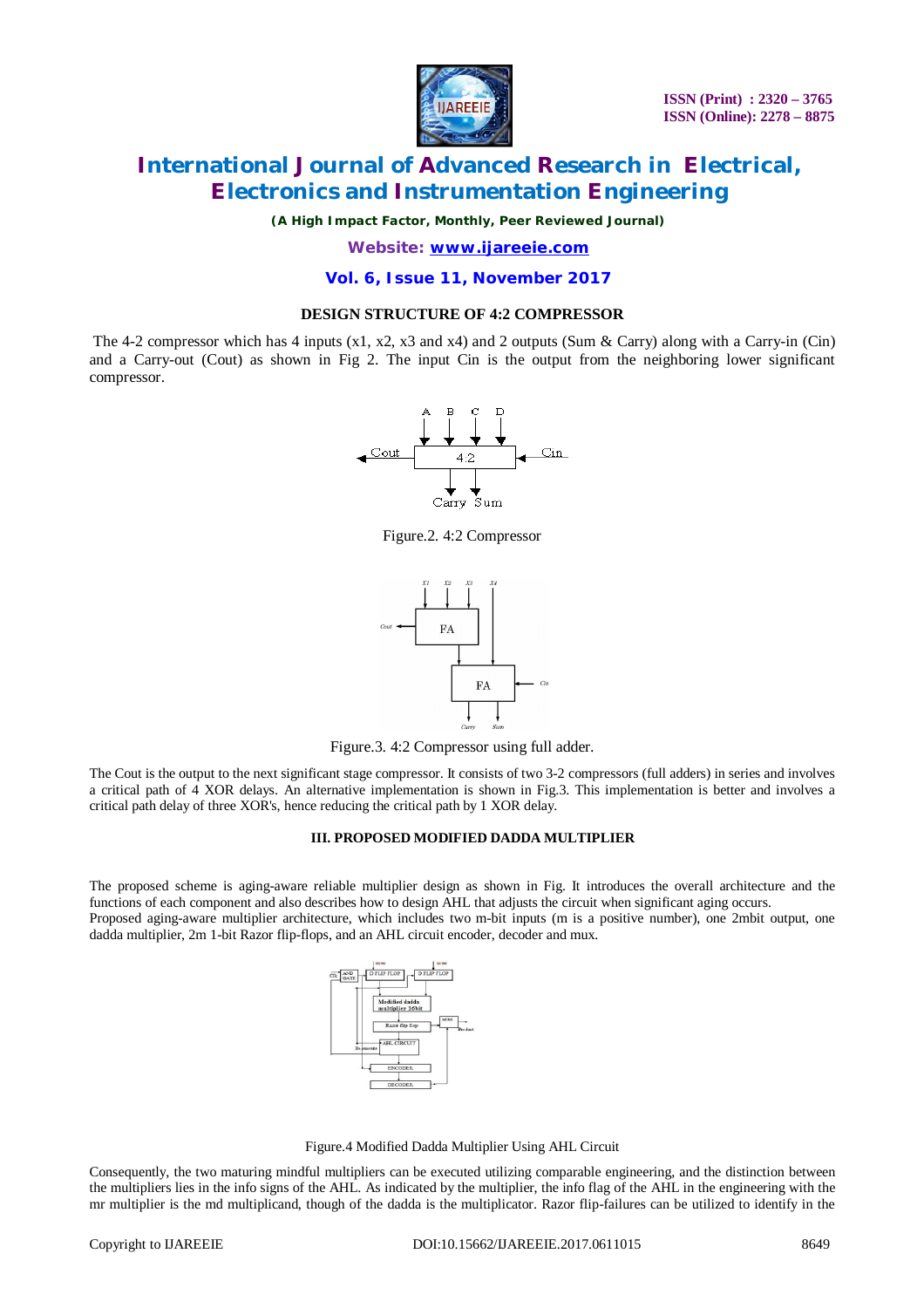

*(A High Impact Factor, Monthly, Peer Reviewed Journal)*

*Website: [www.ijareeie.com](http://www.ijareeie.com)*

**Vol. 6, Issue 11, November 2017**

#### **DESIGN STRUCTURE OF 4:2 COMPRESSOR**

The 4-2 compressor which has 4 inputs  $(x1, x2, x3, x4)$  and 2 outputs (Sum & Carry) along with a Carry-in (Cin) and a Carry-out (Cout) as shown in Fig 2. The input Cin is the output from the neighboring lower significant compressor.



Figure.2. 4:2 Compressor



Figure.3. 4:2 Compressor using full adder.

The Cout is the output to the next significant stage compressor. It consists of two 3-2 compressors (full adders) in series and involves a critical path of 4 XOR delays. An alternative implementation is shown in Fig.3. This implementation is better and involves a critical path delay of three XOR's, hence reducing the critical path by 1 XOR delay.

#### **III. PROPOSED MODIFIED DADDA MULTIPLIER**

The proposed scheme is aging-aware reliable multiplier design as shown in Fig. It introduces the overall architecture and the functions of each component and also describes how to design AHL that adjusts the circuit when significant aging occurs. Proposed aging-aware multiplier architecture, which includes two m-bit inputs (m is a positive number), one 2mbit output, one dadda multiplier, 2m 1-bit Razor flip-flops, and an AHL circuit encoder, decoder and mux.



Figure.4 Modified Dadda Multiplier Using AHL Circuit

Consequently, the two maturing mindful multipliers can be executed utilizing comparable engineering, and the distinction between the multipliers lies in the info signs of the AHL. As indicated by the multiplier, the info flag of the AHL in the engineering with the mr multiplier is the md multiplicand, though of the dadda is the multiplicator. Razor flip-failures can be utilized to identify in the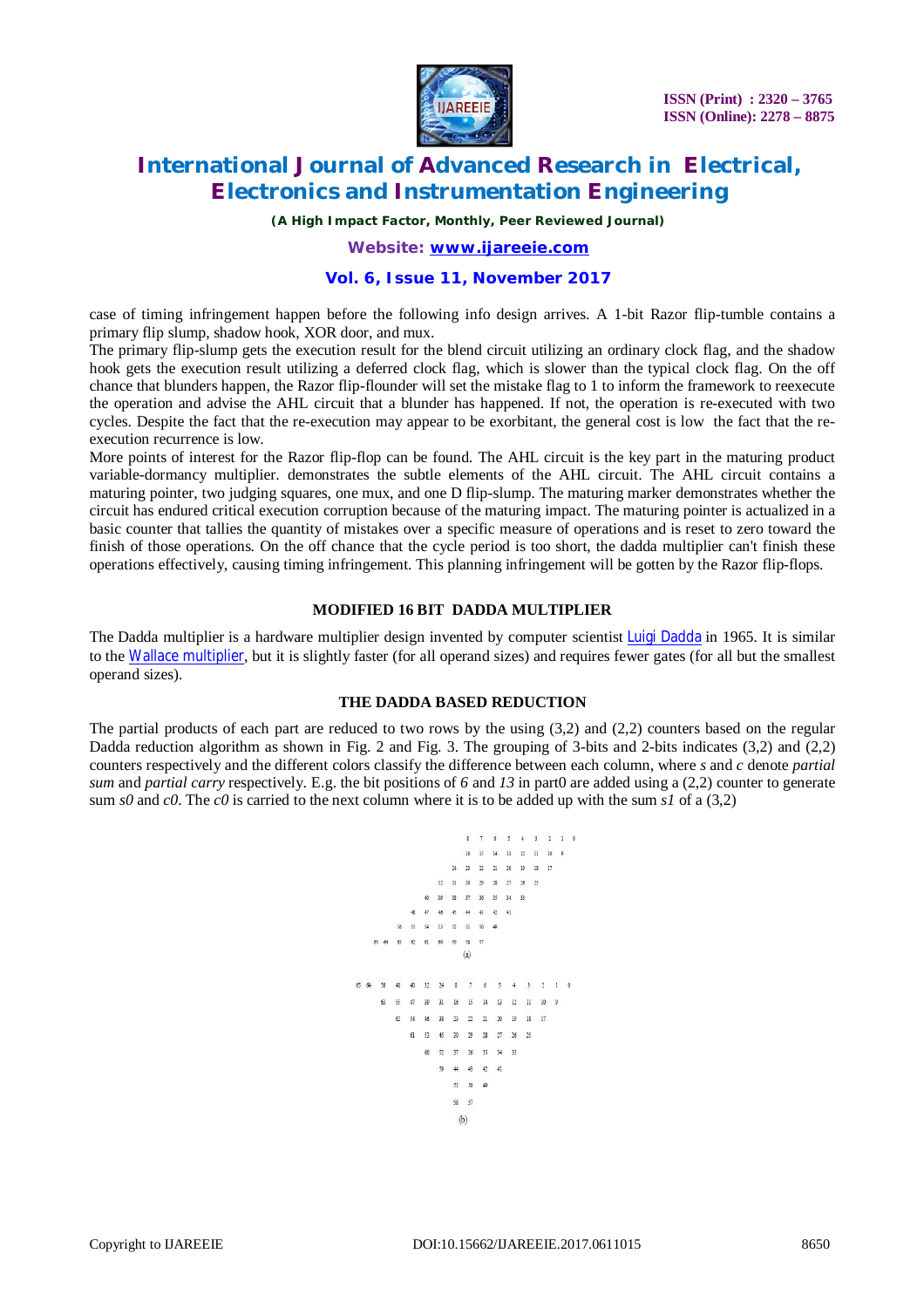

*(A High Impact Factor, Monthly, Peer Reviewed Journal)*

*Website: [www.ijareeie.com](http://www.ijareeie.com)*

### **Vol. 6, Issue 11, November 2017**

case of timing infringement happen before the following info design arrives. A 1-bit Razor flip-tumble contains a primary flip slump, shadow hook, XOR door, and mux.

The primary flip-slump gets the execution result for the blend circuit utilizing an ordinary clock flag, and the shadow hook gets the execution result utilizing a deferred clock flag, which is slower than the typical clock flag. On the off chance that blunders happen, the Razor flip-flounder will set the mistake flag to 1 to inform the framework to reexecute the operation and advise the AHL circuit that a blunder has happened. If not, the operation is re-executed with two cycles. Despite the fact that the re-execution may appear to be exorbitant, the general cost is low the fact that the reexecution recurrence is low.

More points of interest for the Razor flip-flop can be found. The AHL circuit is the key part in the maturing product variable-dormancy multiplier. demonstrates the subtle elements of the AHL circuit. The AHL circuit contains a maturing pointer, two judging squares, one mux, and one D flip-slump. The maturing marker demonstrates whether the circuit has endured critical execution corruption because of the maturing impact. The maturing pointer is actualized in a basic counter that tallies the quantity of mistakes over a specific measure of operations and is reset to zero toward the finish of those operations. On the off chance that the cycle period is too short, the dadda multiplier can't finish these operations effectively, causing timing infringement. This planning infringement will be gotten by the Razor flip-flops.

#### **MODIFIED 16 BIT DADDA MULTIPLIER**

The Dadda multiplier is a hardware multiplier design invented by computer scientist Luigi Dadda in 1965. It is similar to the Wallace multiplier, but it is slightly faster (for all operand sizes) and requires fewer gates (for all but the smallest operand sizes).

#### **THE DADDA BASED REDUCTION**

The partial products of each part are reduced to two rows by the using  $(3,2)$  and  $(2,2)$  counters based on the regular Dadda reduction algorithm as shown in Fig. 2 and Fig. 3. The grouping of 3-bits and 2-bits indicates (3,2) and (2,2) counters respectively and the different colors classify the difference between each column, where *s* and *c* denote *partial sum* and *partial carry* respectively. E.g. the bit positions of *6* and *13* in part0 are added using a (2,2) counter to generate sum *s0* and *c0*. The *c0* is carried to the next column where it is to be added up with the sum *s1* of a (3,2)

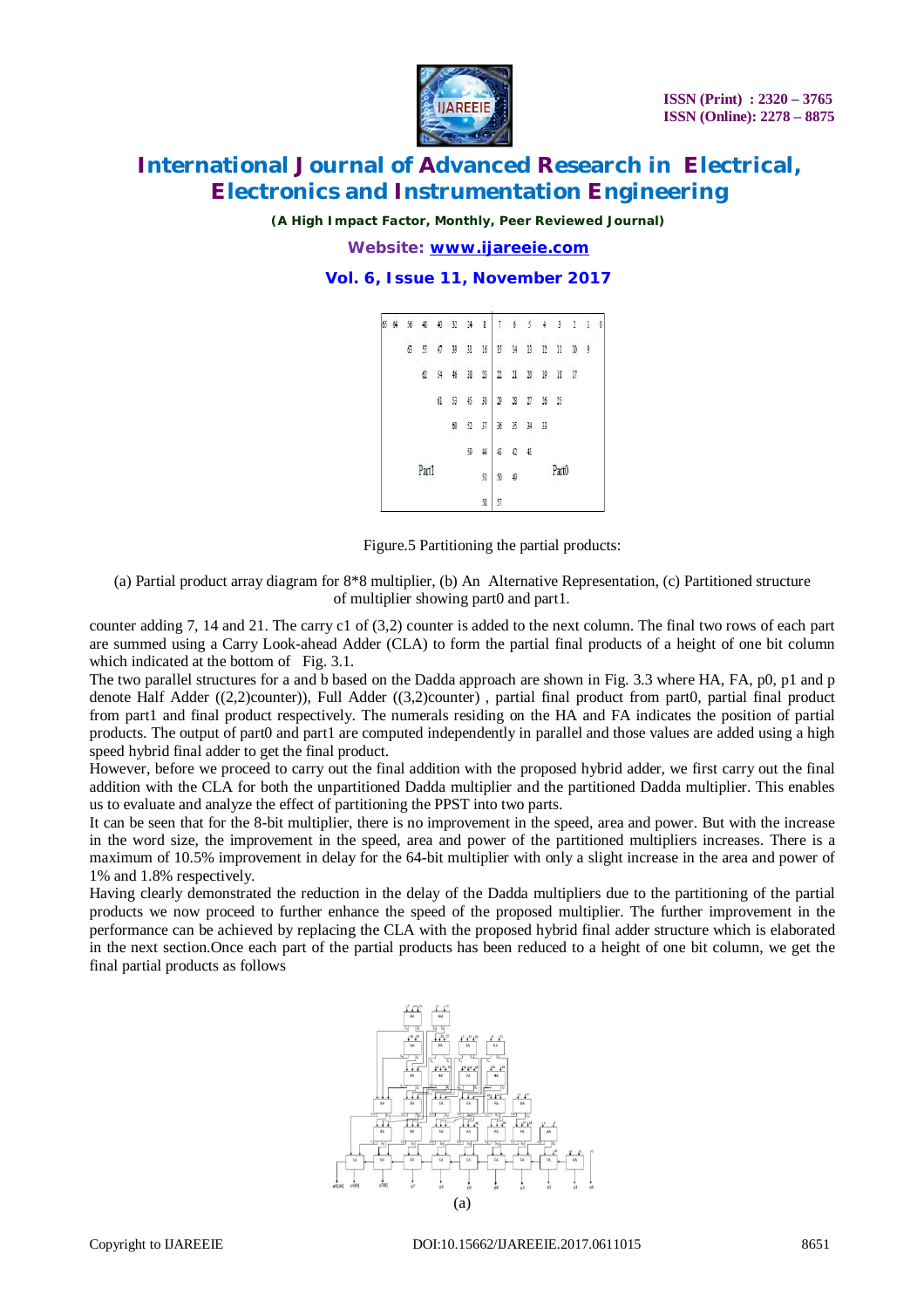

*(A High Impact Factor, Monthly, Peer Reviewed Journal)*

*Website: [www.ijareeie.com](http://www.ijareeie.com)*

#### **Vol. 6, Issue 11, November 2017**



Figure.5 Partitioning the partial products:

(a) Partial product array diagram for 8\*8 multiplier, (b) An Alternative Representation, (c) Partitioned structure of multiplier showing part0 and part1.

counter adding 7, 14 and 21. The carry c1 of (3,2) counter is added to the next column. The final two rows of each part are summed using a Carry Look-ahead Adder (CLA) to form the partial final products of a height of one bit column which indicated at the bottom of Fig. 3.1.

The two parallel structures for a and b based on the Dadda approach are shown in Fig. 3.3 where HA, FA, p0, p1 and p denote Half Adder ((2,2)counter)), Full Adder ((3,2)counter) , partial final product from part0, partial final product from part1 and final product respectively. The numerals residing on the HA and FA indicates the position of partial products. The output of part0 and part1 are computed independently in parallel and those values are added using a high speed hybrid final adder to get the final product.

However, before we proceed to carry out the final addition with the proposed hybrid adder, we first carry out the final addition with the CLA for both the unpartitioned Dadda multiplier and the partitioned Dadda multiplier. This enables us to evaluate and analyze the effect of partitioning the PPST into two parts.

It can be seen that for the 8-bit multiplier, there is no improvement in the speed, area and power. But with the increase in the word size, the improvement in the speed, area and power of the partitioned multipliers increases. There is a maximum of 10.5% improvement in delay for the 64-bit multiplier with only a slight increase in the area and power of 1% and 1.8% respectively.

Having clearly demonstrated the reduction in the delay of the Dadda multipliers due to the partitioning of the partial products we now proceed to further enhance the speed of the proposed multiplier. The further improvement in the performance can be achieved by replacing the CLA with the proposed hybrid final adder structure which is elaborated in the next section.Once each part of the partial products has been reduced to a height of one bit column, we get the final partial products as follows

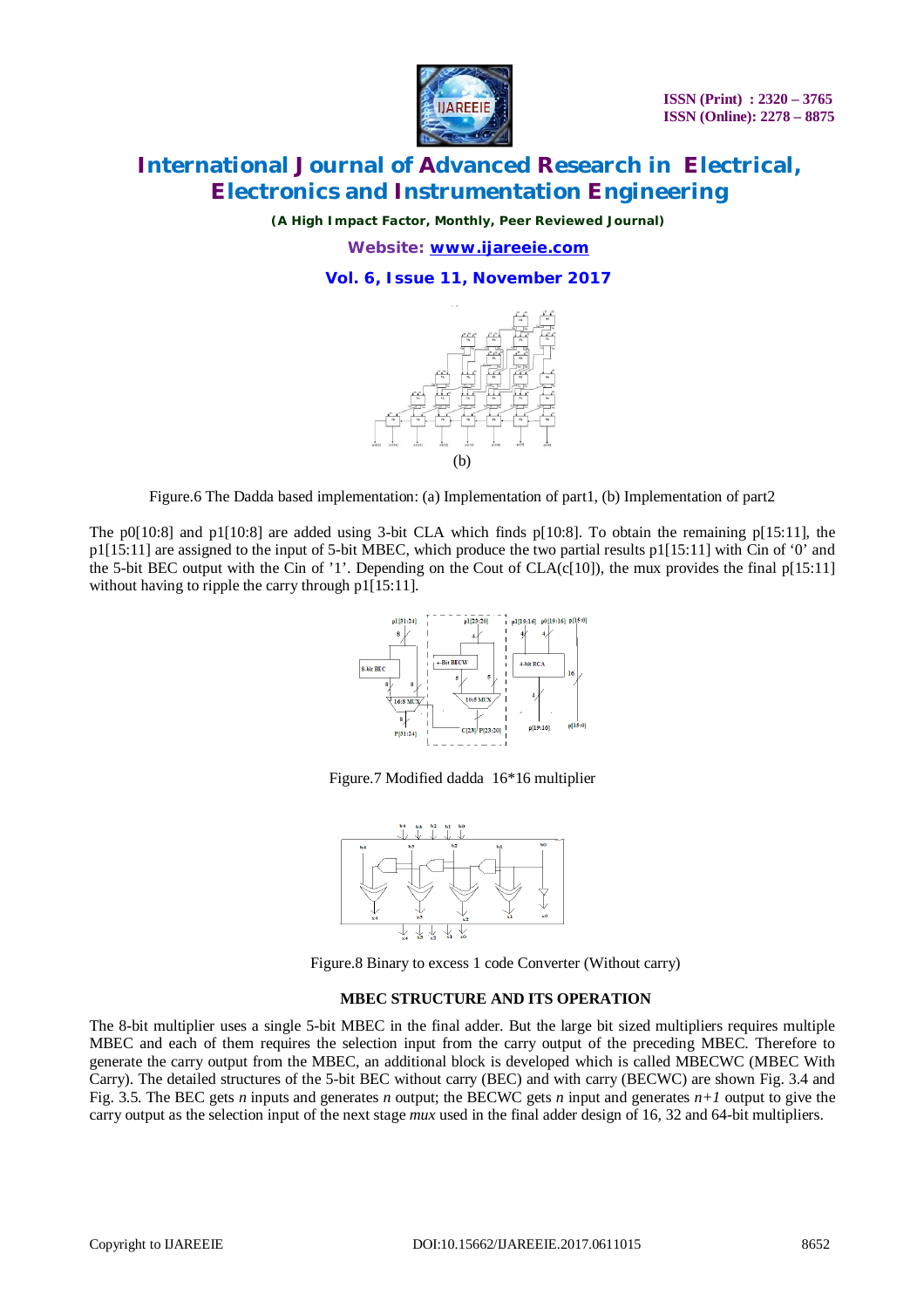

*(A High Impact Factor, Monthly, Peer Reviewed Journal)*

*Website: [www.ijareeie.com](http://www.ijareeie.com)*

### **Vol. 6, Issue 11, November 2017**



Figure.6 The Dadda based implementation: (a) Implementation of part1, (b) Implementation of part2

The p0[10:8] and p1[10:8] are added using 3-bit CLA which finds p[10:8]. To obtain the remaining p[15:11], the p1[15:11] are assigned to the input of 5-bit MBEC, which produce the two partial results p1[15:11] with Cin of '0' and the 5-bit BEC output with the Cin of '1'. Depending on the Cout of CLA(c[10]), the mux provides the final p[15:11] without having to ripple the carry through p1[15:11].



Figure.7 Modified dadda 16\*16 multiplier



Figure.8 Binary to excess 1 code Converter (Without carry)

#### **MBEC STRUCTURE AND ITS OPERATION**

The 8-bit multiplier uses a single 5-bit MBEC in the final adder. But the large bit sized multipliers requires multiple MBEC and each of them requires the selection input from the carry output of the preceding MBEC. Therefore to generate the carry output from the MBEC, an additional block is developed which is called MBECWC (MBEC With Carry). The detailed structures of the 5-bit BEC without carry (BEC) and with carry (BECWC) are shown Fig. 3.4 and Fig. 3.5. The BEC gets *n* inputs and generates *n* output; the BECWC gets *n* input and generates  $n+1$  output to give the carry output as the selection input of the next stage *mux* used in the final adder design of 16, 32 and 64-bit multipliers.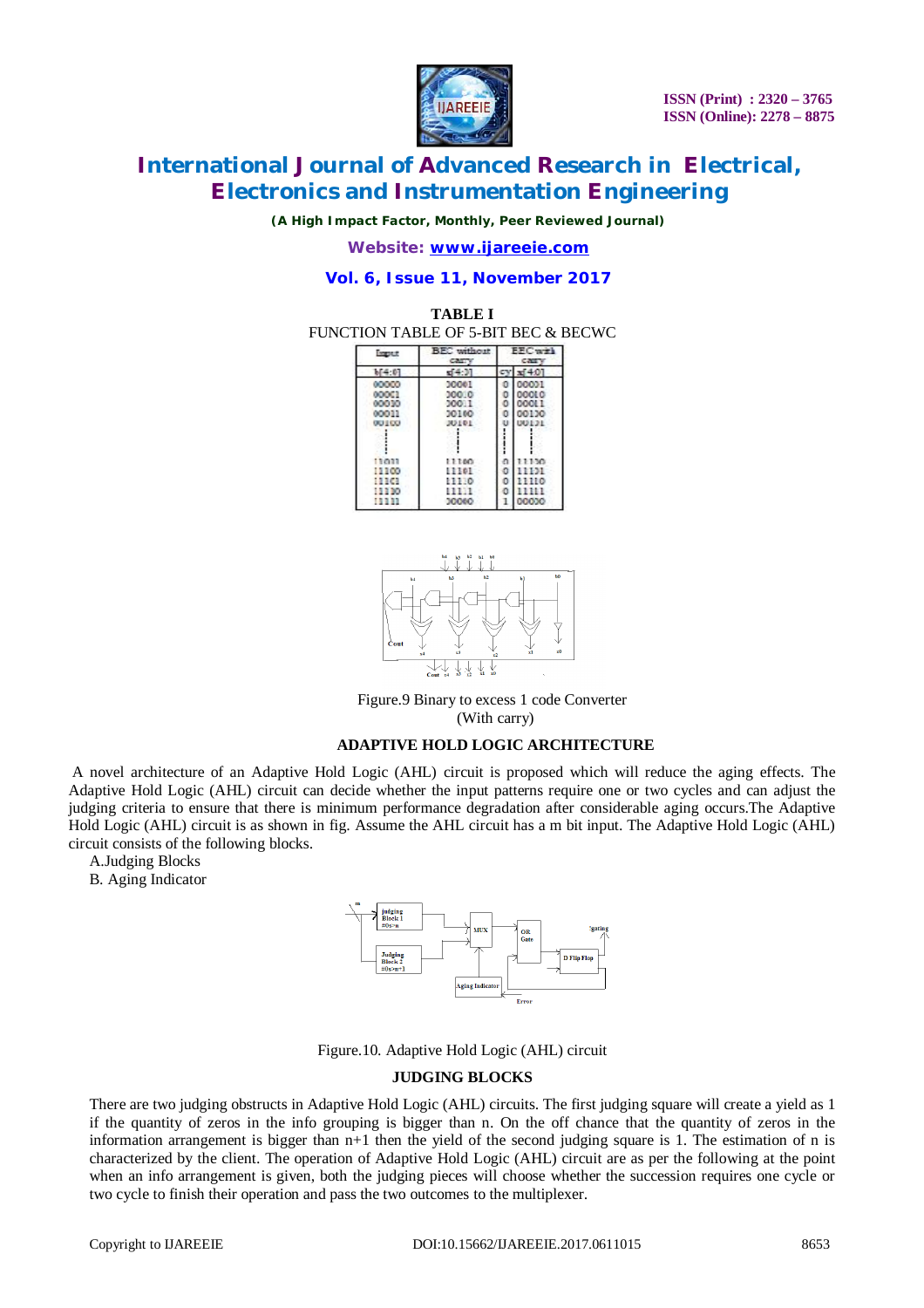

*(A High Impact Factor, Monthly, Peer Reviewed Journal)*

*Website: [www.ijareeie.com](http://www.ijareeie.com)*

### **Vol. 6, Issue 11, November 2017**

#### **TABLE I** FUNCTION TABLE OF 5-BIT BEC & BECWC

| <b>Input</b>   | <b>BEC</b> without<br><b>CALL'Y</b> | <b>EFCwirl</b><br><b>CZETY</b> |        |
|----------------|-------------------------------------|--------------------------------|--------|
| 14.0           | 44.91                               |                                | x1401  |
| <b>DOM: NO</b> | 30001                               |                                | 00001  |
| 000C1          | 300.0                               |                                | 000LC  |
| 00030          | 20011                               |                                | 00OL 1 |
| 00011          | 30160                               |                                | 00130  |
| <b>OU LCC</b>  | 30101                               |                                |        |
|                |                                     |                                |        |
| 13033          | 11100                               |                                | 11150  |
| 11100          | 13301                               |                                | 11131  |
| 13161          | EE 130                              |                                | 1110   |
| <b>13330</b>   | <b>11111</b>                        |                                |        |
| <b>1999</b>    | 30060                               |                                | 00000  |



Figure.9 Binary to excess 1 code Converter (With carry)

#### **ADAPTIVE HOLD LOGIC ARCHITECTURE**

A novel architecture of an Adaptive Hold Logic (AHL) circuit is proposed which will reduce the aging effects. The Adaptive Hold Logic (AHL) circuit can decide whether the input patterns require one or two cycles and can adjust the judging criteria to ensure that there is minimum performance degradation after considerable aging occurs.The Adaptive Hold Logic (AHL) circuit is as shown in fig. Assume the AHL circuit has a m bit input. The Adaptive Hold Logic (AHL) circuit consists of the following blocks.

A.Judging Blocks

B. Aging Indicator



Figure.10. Adaptive Hold Logic (AHL) circuit

#### **JUDGING BLOCKS**

There are two judging obstructs in Adaptive Hold Logic (AHL) circuits. The first judging square will create a yield as 1 if the quantity of zeros in the info grouping is bigger than n. On the off chance that the quantity of zeros in the information arrangement is bigger than n+1 then the yield of the second judging square is 1. The estimation of n is characterized by the client. The operation of Adaptive Hold Logic (AHL) circuit are as per the following at the point when an info arrangement is given, both the judging pieces will choose whether the succession requires one cycle or two cycle to finish their operation and pass the two outcomes to the multiplexer.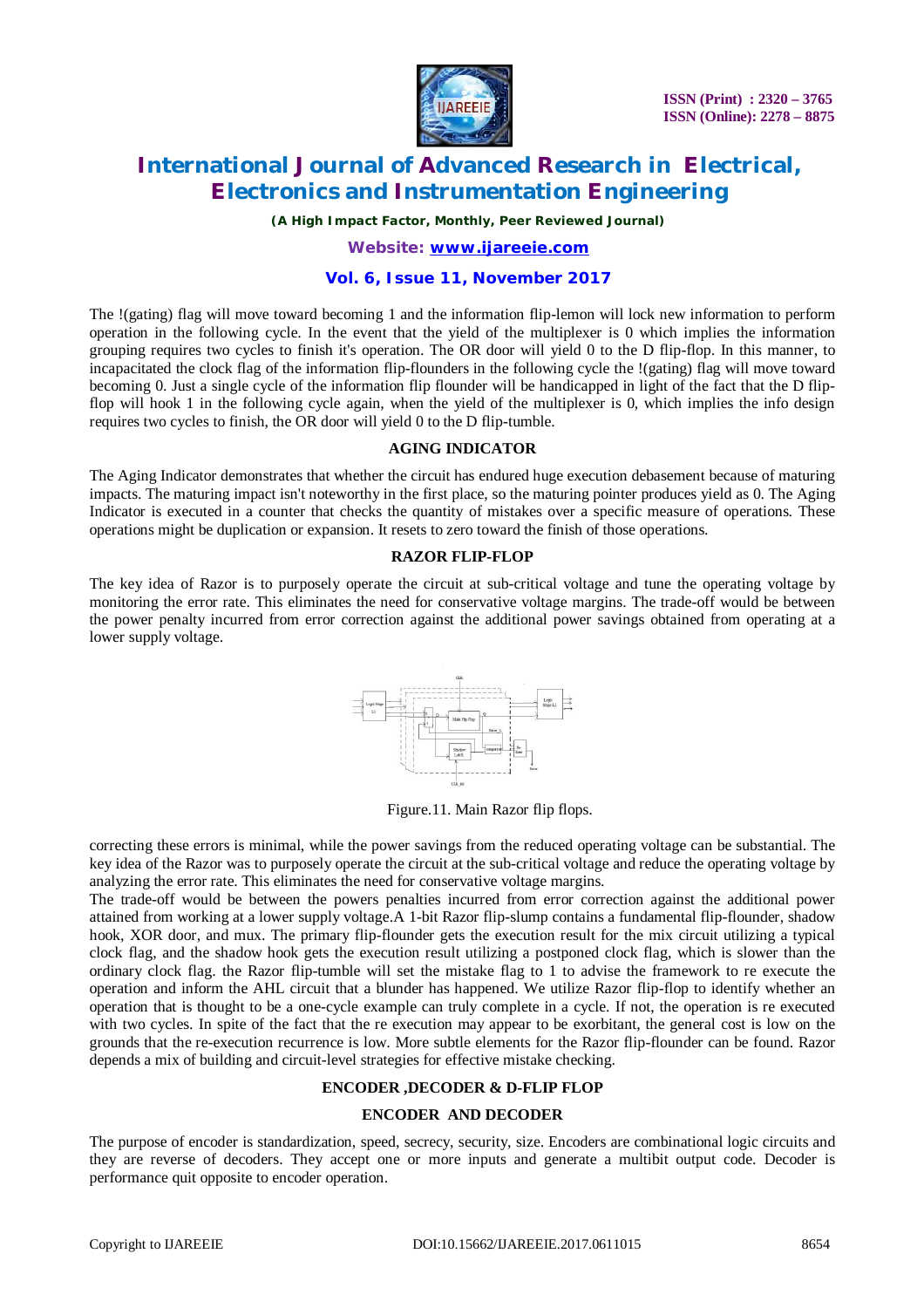

*(A High Impact Factor, Monthly, Peer Reviewed Journal)*

*Website: [www.ijareeie.com](http://www.ijareeie.com)*

### **Vol. 6, Issue 11, November 2017**

The !(gating) flag will move toward becoming 1 and the information flip-lemon will lock new information to perform operation in the following cycle. In the event that the yield of the multiplexer is 0 which implies the information grouping requires two cycles to finish it's operation. The OR door will yield 0 to the D flip-flop. In this manner, to incapacitated the clock flag of the information flip-flounders in the following cycle the !(gating) flag will move toward becoming 0. Just a single cycle of the information flip flounder will be handicapped in light of the fact that the D flipflop will hook 1 in the following cycle again, when the yield of the multiplexer is 0, which implies the info design requires two cycles to finish, the OR door will yield 0 to the D flip-tumble.

#### **AGING INDICATOR**

The Aging Indicator demonstrates that whether the circuit has endured huge execution debasement because of maturing impacts. The maturing impact isn't noteworthy in the first place, so the maturing pointer produces yield as 0. The Aging Indicator is executed in a counter that checks the quantity of mistakes over a specific measure of operations. These operations might be duplication or expansion. It resets to zero toward the finish of those operations.

#### **RAZOR FLIP-FLOP**

The key idea of Razor is to purposely operate the circuit at sub-critical voltage and tune the operating voltage by monitoring the error rate. This eliminates the need for conservative voltage margins. The trade-off would be between the power penalty incurred from error correction against the additional power savings obtained from operating at a lower supply voltage.



Figure.11. Main Razor flip flops.

correcting these errors is minimal, while the power savings from the reduced operating voltage can be substantial. The key idea of the Razor was to purposely operate the circuit at the sub-critical voltage and reduce the operating voltage by analyzing the error rate. This eliminates the need for conservative voltage margins.

The trade-off would be between the powers penalties incurred from error correction against the additional power attained from working at a lower supply voltage.A 1-bit Razor flip-slump contains a fundamental flip-flounder, shadow hook, XOR door, and mux. The primary flip-flounder gets the execution result for the mix circuit utilizing a typical clock flag, and the shadow hook gets the execution result utilizing a postponed clock flag, which is slower than the ordinary clock flag. the Razor flip-tumble will set the mistake flag to 1 to advise the framework to re execute the operation and inform the AHL circuit that a blunder has happened. We utilize Razor flip-flop to identify whether an operation that is thought to be a one-cycle example can truly complete in a cycle. If not, the operation is re executed with two cycles. In spite of the fact that the re execution may appear to be exorbitant, the general cost is low on the grounds that the re-execution recurrence is low. More subtle elements for the Razor flip-flounder can be found. Razor depends a mix of building and circuit-level strategies for effective mistake checking.

#### **ENCODER ,DECODER & D-FLIP FLOP**

### **ENCODER AND DECODER**

The purpose of encoder is standardization, speed, secrecy, security, size. Encoders are combinational logic circuits and they are reverse of decoders. They accept one or more inputs and generate a multibit output code. Decoder is performance quit opposite to encoder operation.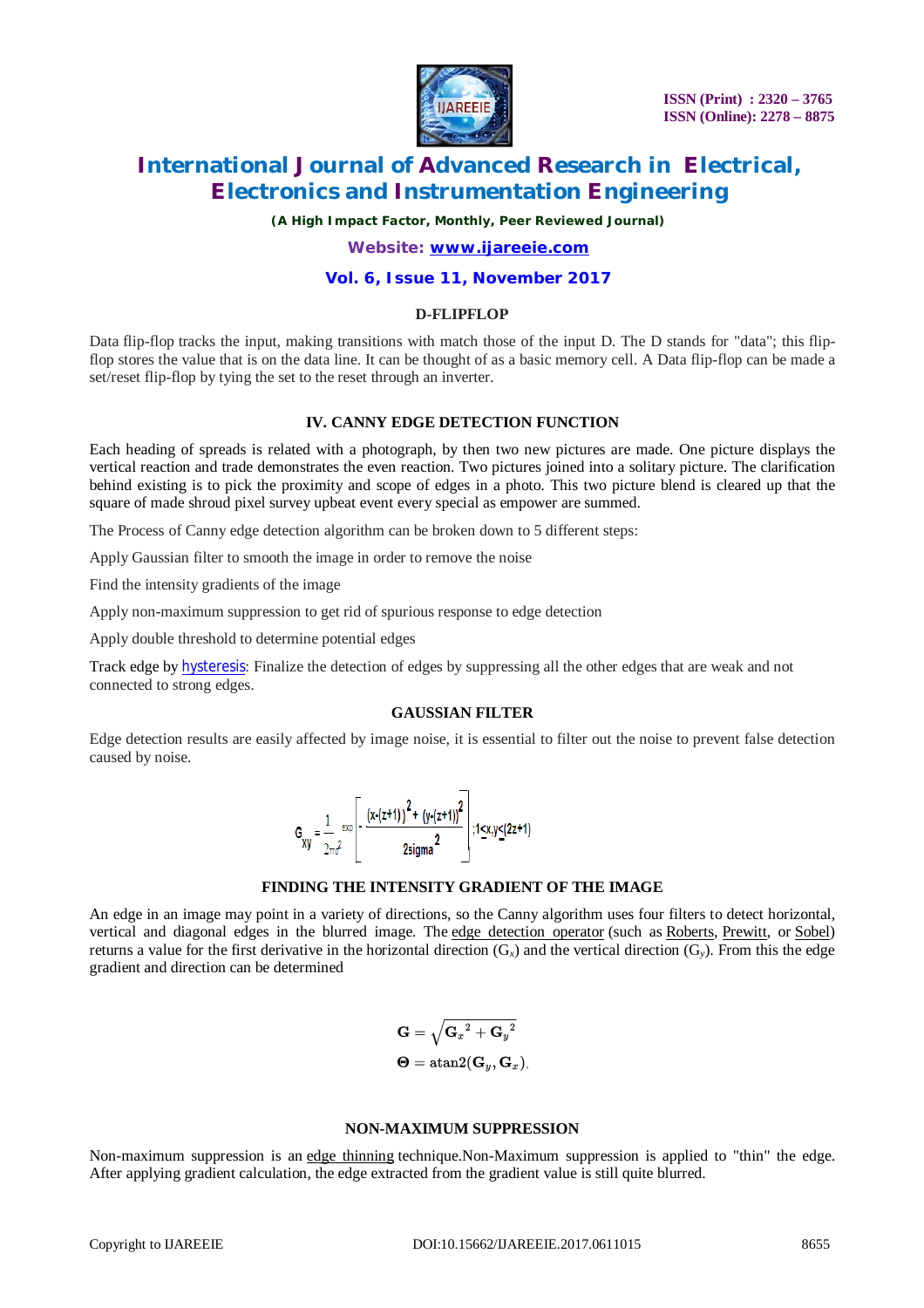

*(A High Impact Factor, Monthly, Peer Reviewed Journal)*

*Website: [www.ijareeie.com](http://www.ijareeie.com)*

#### **Vol. 6, Issue 11, November 2017**

#### **D-FLIPFLOP**

Data flip-flop tracks the input, making transitions with match those of the input D. The D stands for "data"; this flipflop stores the value that is on the data line. It can be thought of as a basic memory cell. A Data flip-flop can be made a set/reset flip-flop by tying the set to the reset through an inverter.

#### **IV. CANNY EDGE DETECTION FUNCTION**

Each heading of spreads is related with a photograph, by then two new pictures are made. One picture displays the vertical reaction and trade demonstrates the even reaction. Two pictures joined into a solitary picture. The clarification behind existing is to pick the proximity and scope of edges in a photo. This two picture blend is cleared up that the square of made shroud pixel survey upbeat event every special as empower are summed.

The Process of Canny edge detection algorithm can be broken down to 5 different steps:

Apply Gaussian filter to smooth the image in order to remove the noise

Find the intensity gradients of the image

Apply non-maximum suppression to get rid of spurious response to edge detection

Apply double threshold to determine potential edges

Track edge by hysteresis: Finalize the detection of edges by suppressing all the other edges that are weak and not connected to strong edges.

#### **GAUSSIAN FILTER**

Edge detection results are easily affected by image noise, it is essential to filter out the noise to prevent false detection caused by noise.

$$
G_{xy} = \frac{1}{2\pi\sigma^2} \left[ -\frac{(x\cdot(z+1))^2 + (y\cdot(z+1))^2}{2 \text{sigma}^2} \right]; 1 \le x, y \le (2z+1)
$$

#### **FINDING THE INTENSITY GRADIENT OF THE IMAGE**

An edge in an image may point in a variety of directions, so the Canny algorithm uses four filters to detect horizontal, vertical and diagonal edges in the blurred image. The edge detection operator (such as Roberts, Prewitt, or Sobel) returns a value for the first derivative in the horizontal direction (G*x*) and the vertical direction (G*y*). From this the edge gradient and direction can be determined

$$
\begin{aligned} \mathbf{G} &= \sqrt{\mathbf{G}_x{}^2 + \mathbf{G}_y{}^2} \\ \boldsymbol{\Theta} &= \mathrm{atan2}(\mathbf{G}_y, \mathbf{G}_x) \end{aligned}
$$

#### **NON-MAXIMUM SUPPRESSION**

Non-maximum suppression is an edge thinning technique.Non-Maximum suppression is applied to "thin" the edge. After applying gradient calculation, the edge extracted from the gradient value is still quite blurred.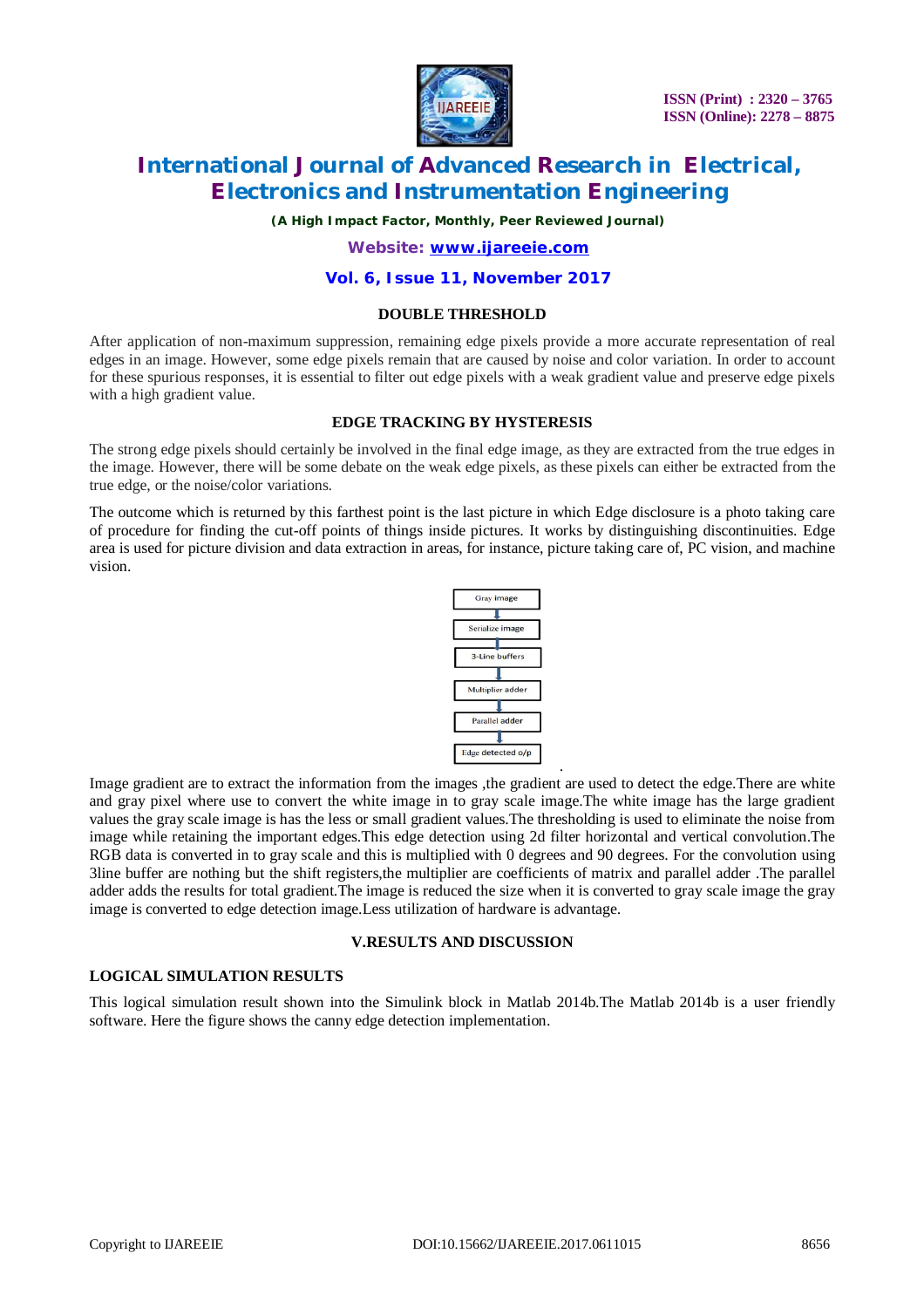

*(A High Impact Factor, Monthly, Peer Reviewed Journal)*

*Website: [www.ijareeie.com](http://www.ijareeie.com)*

#### **Vol. 6, Issue 11, November 2017**

#### **DOUBLE THRESHOLD**

After application of non-maximum suppression, remaining edge pixels provide a more accurate representation of real edges in an image. However, some edge pixels remain that are caused by noise and color variation. In order to account for these spurious responses, it is essential to filter out edge pixels with a weak gradient value and preserve edge pixels with a high gradient value.

#### **EDGE TRACKING BY HYSTERESIS**

The strong edge pixels should certainly be involved in the final edge image, as they are extracted from the true edges in the image. However, there will be some debate on the weak edge pixels, as these pixels can either be extracted from the true edge, or the noise/color variations.

The outcome which is returned by this farthest point is the last picture in which Edge disclosure is a photo taking care of procedure for finding the cut-off points of things inside pictures. It works by distinguishing discontinuities. Edge area is used for picture division and data extraction in areas, for instance, picture taking care of, PC vision, and machine vision.



.

Image gradient are to extract the information from the images ,the gradient are used to detect the edge.There are white and gray pixel where use to convert the white image in to gray scale image.The white image has the large gradient values the gray scale image is has the less or small gradient values.The thresholding is used to eliminate the noise from image while retaining the important edges.This edge detection using 2d filter horizontal and vertical convolution.The RGB data is converted in to gray scale and this is multiplied with 0 degrees and 90 degrees. For the convolution using 3line buffer are nothing but the shift registers,the multiplier are coefficients of matrix and parallel adder .The parallel adder adds the results for total gradient.The image is reduced the size when it is converted to gray scale image the gray image is converted to edge detection image.Less utilization of hardware is advantage.

#### **V.RESULTS AND DISCUSSION**

#### **LOGICAL SIMULATION RESULTS**

This logical simulation result shown into the Simulink block in Matlab 2014b.The Matlab 2014b is a user friendly software. Here the figure shows the canny edge detection implementation.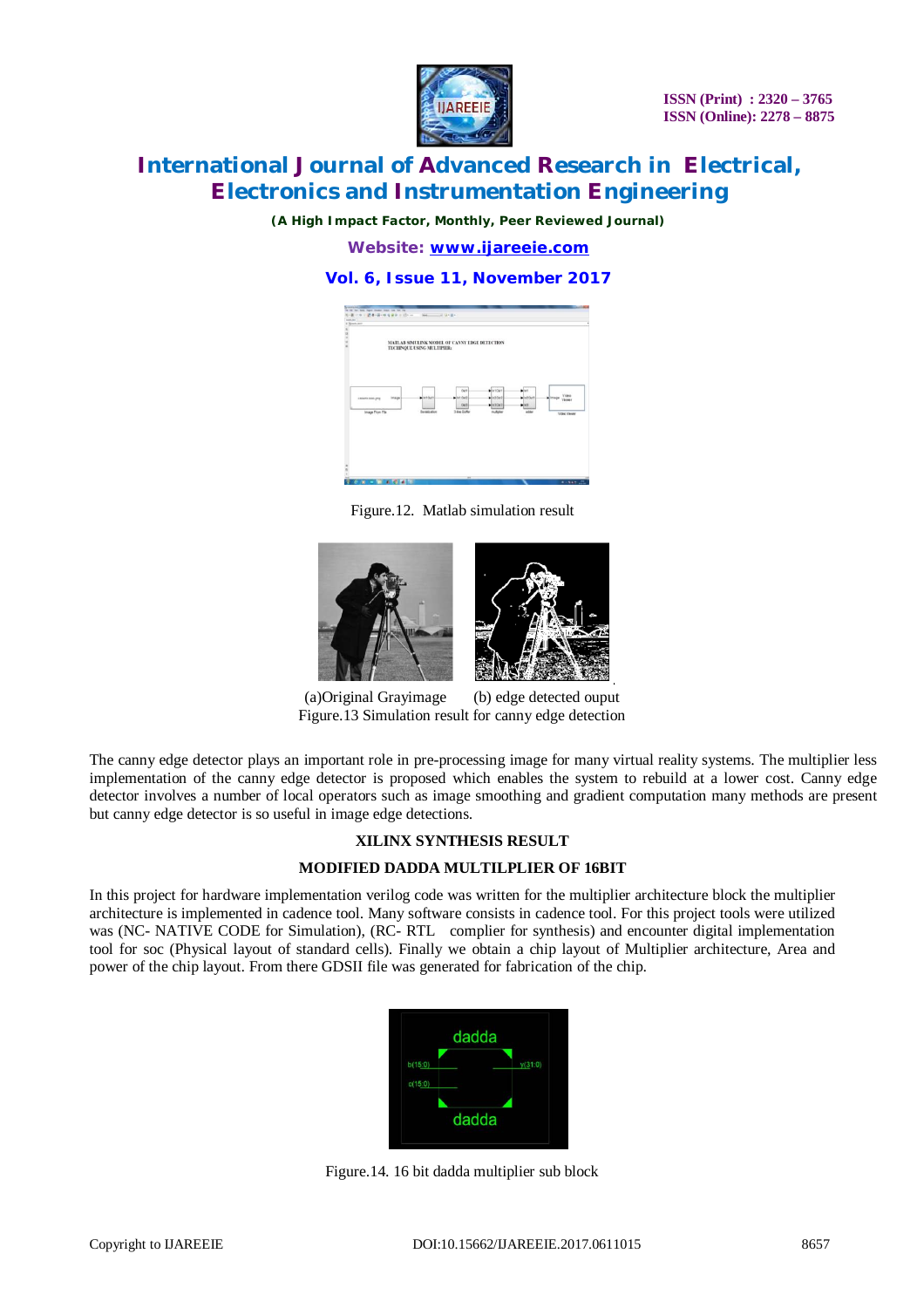

*(A High Impact Factor, Monthly, Peer Reviewed Journal)*

*Website: [www.ijareeie.com](http://www.ijareeie.com)*

### **Vol. 6, Issue 11, November 2017**



Figure.12. Matlab simulation result



(a)Original Grayimage (b) edge detected ouput Figure.13 Simulation result for canny edge detection

The canny edge detector plays an important role in pre-processing image for many virtual reality systems. The multiplier less implementation of the canny edge detector is proposed which enables the system to rebuild at a lower cost. Canny edge detector involves a number of local operators such as image smoothing and gradient computation many methods are present but canny edge detector is so useful in image edge detections.

.

#### **XILINX SYNTHESIS RESULT**

#### **MODIFIED DADDA MULTILPLIER OF 16BIT**

In this project for hardware implementation verilog code was written for the multiplier architecture block the multiplier architecture is implemented in cadence tool. Many software consists in cadence tool. For this project tools were utilized was (NC- NATIVE CODE for Simulation), (RC- RTL complier for synthesis) and encounter digital implementation tool for soc (Physical layout of standard cells). Finally we obtain a chip layout of Multiplier architecture, Area and power of the chip layout. From there GDSII file was generated for fabrication of the chip.



Figure.14. 16 bit dadda multiplier sub block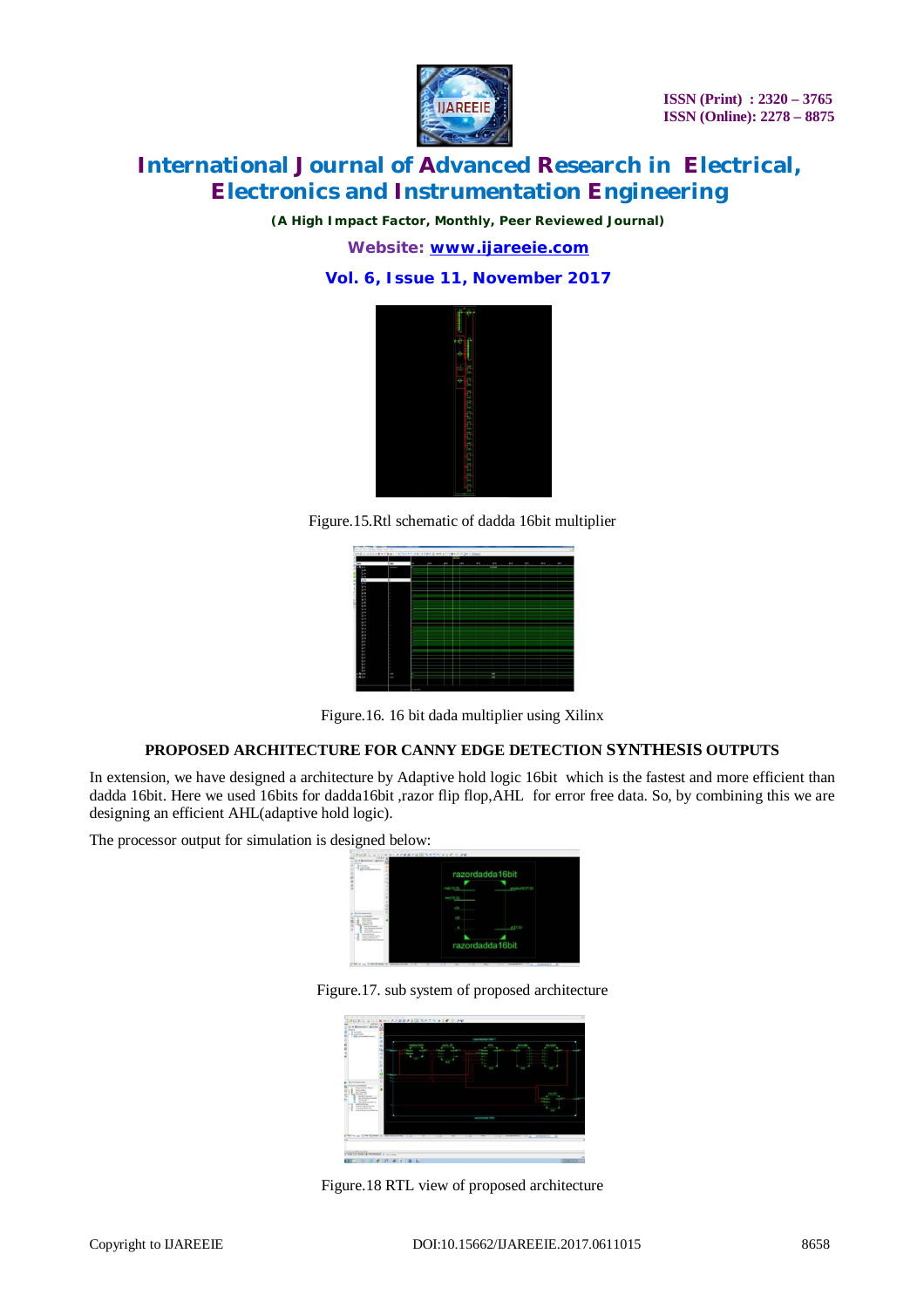

*(A High Impact Factor, Monthly, Peer Reviewed Journal)*

*Website: [www.ijareeie.com](http://www.ijareeie.com)*

### **Vol. 6, Issue 11, November 2017**



Figure.15.Rtl schematic of dadda 16bit multiplier



Figure.16. 16 bit dada multiplier using Xilinx

#### **PROPOSED ARCHITECTURE FOR CANNY EDGE DETECTION SYNTHESIS OUTPUTS**

In extension, we have designed a architecture by Adaptive hold logic 16bit which is the fastest and more efficient than dadda 16bit. Here we used 16bits for dadda16bit ,razor flip flop,AHL for error free data. So, by combining this we are designing an efficient AHL(adaptive hold logic).

The processor output for simulation is designed below:



Figure.17. sub system of proposed architecture



Figure.18 RTL view of proposed architecture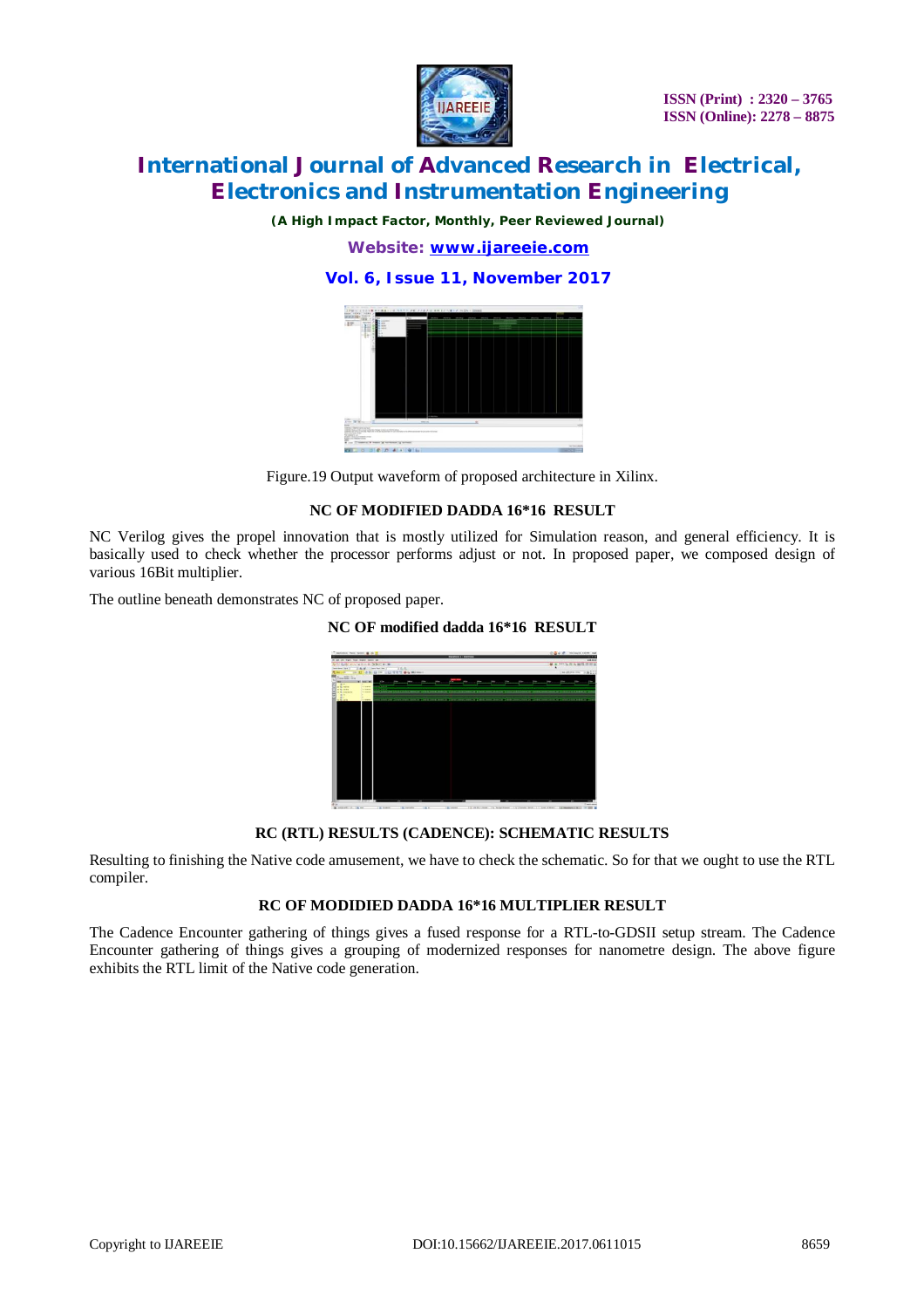

*(A High Impact Factor, Monthly, Peer Reviewed Journal)*

*Website: [www.ijareeie.com](http://www.ijareeie.com)*

**Vol. 6, Issue 11, November 2017**



Figure.19 Output waveform of proposed architecture in Xilinx.

#### **NC OF MODIFIED DADDA 16\*16 RESULT**

NC Verilog gives the propel innovation that is mostly utilized for Simulation reason, and general efficiency. It is basically used to check whether the processor performs adjust or not. In proposed paper, we composed design of various 16Bit multiplier.

The outline beneath demonstrates NC of proposed paper.

### **NC OF modified dadda 16\*16 RESULT**



#### **RC (RTL) RESULTS (CADENCE): SCHEMATIC RESULTS**

Resulting to finishing the Native code amusement, we have to check the schematic. So for that we ought to use the RTL compiler.

#### **RC OF MODIDIED DADDA 16\*16 MULTIPLIER RESULT**

The Cadence Encounter gathering of things gives a fused response for a RTL-to-GDSII setup stream. The Cadence Encounter gathering of things gives a grouping of modernized responses for nanometre design. The above figure exhibits the RTL limit of the Native code generation.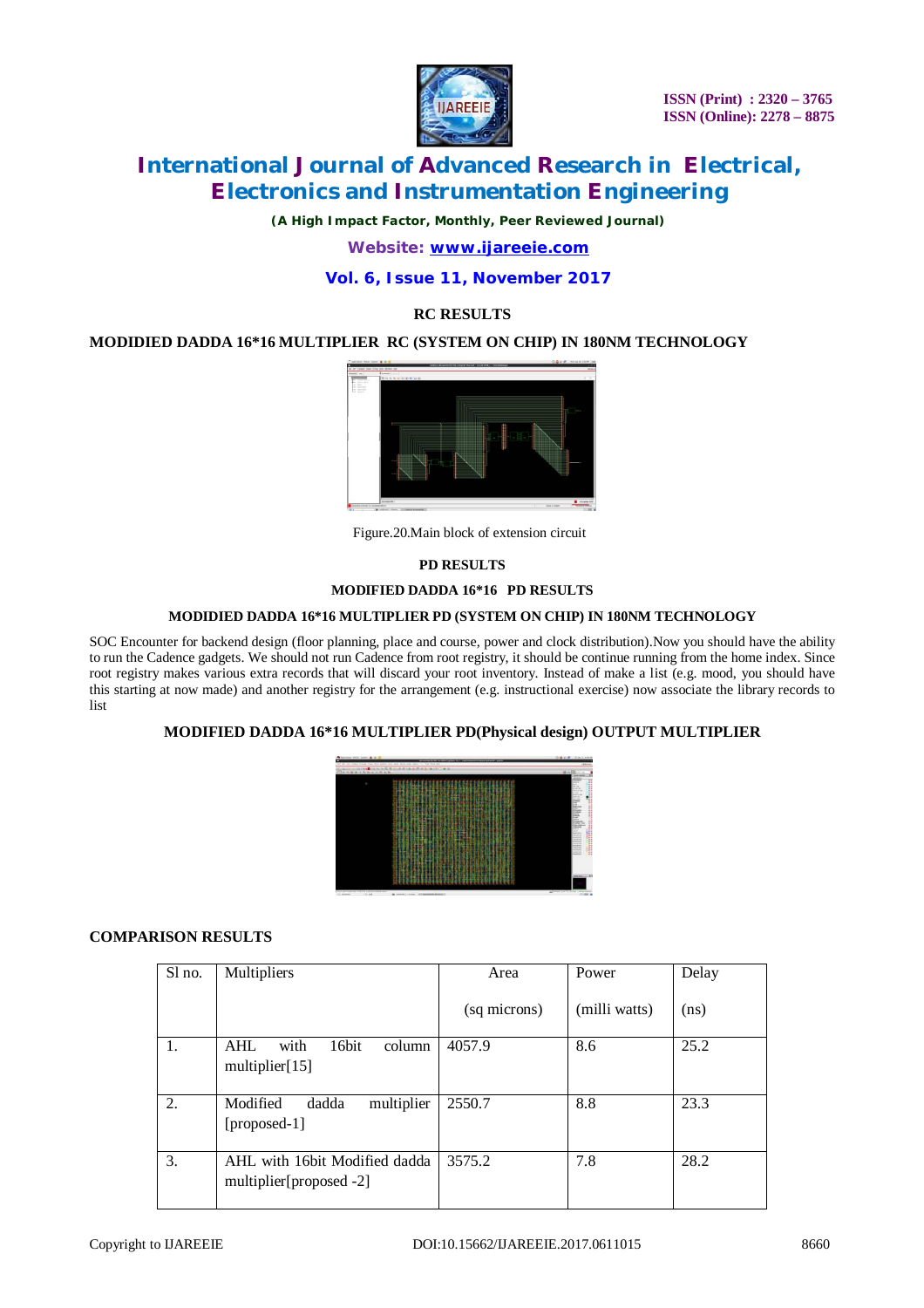

*(A High Impact Factor, Monthly, Peer Reviewed Journal)*

*Website: [www.ijareeie.com](http://www.ijareeie.com)*

### **Vol. 6, Issue 11, November 2017**

#### **RC RESULTS**

#### **MODIDIED DADDA 16\*16 MULTIPLIER RC (SYSTEM ON CHIP) IN 180NM TECHNOLOGY**



Figure.20.Main block of extension circuit

#### **PD RESULTS**

#### **MODIFIED DADDA 16\*16 PD RESULTS**

#### **MODIDIED DADDA 16\*16 MULTIPLIER PD (SYSTEM ON CHIP) IN 180NM TECHNOLOGY**

SOC Encounter for backend design (floor planning, place and course, power and clock distribution).Now you should have the ability to run the Cadence gadgets. We should not run Cadence from root registry, it should be continue running from the home index. Since root registry makes various extra records that will discard your root inventory. Instead of make a list (e.g. mood, you should have this starting at now made) and another registry for the arrangement (e.g. instructional exercise) now associate the library records to list

#### **MODIFIED DADDA 16\*16 MULTIPLIER PD(Physical design) OUTPUT MULTIPLIER**



#### **COMPARISON RESULTS**

| Sl no. | Multipliers                                                | Area         | Power         | Delay             |
|--------|------------------------------------------------------------|--------------|---------------|-------------------|
|        |                                                            | (sq microns) | (milli watts) | (n <sub>s</sub> ) |
| 1.     | <b>AHL</b><br>with<br>16bit<br>column<br>multiplier $[15]$ | 4057.9       | 8.6           | 25.2              |
| 2.     | Modified<br>multiplier<br>dadda<br>$[proposed-1]$          | 2550.7       | 8.8           | 23.3              |
| 3.     | AHL with 16bit Modified dadda<br>multiplier[proposed -2]   | 3575.2       | 7.8           | 28.2              |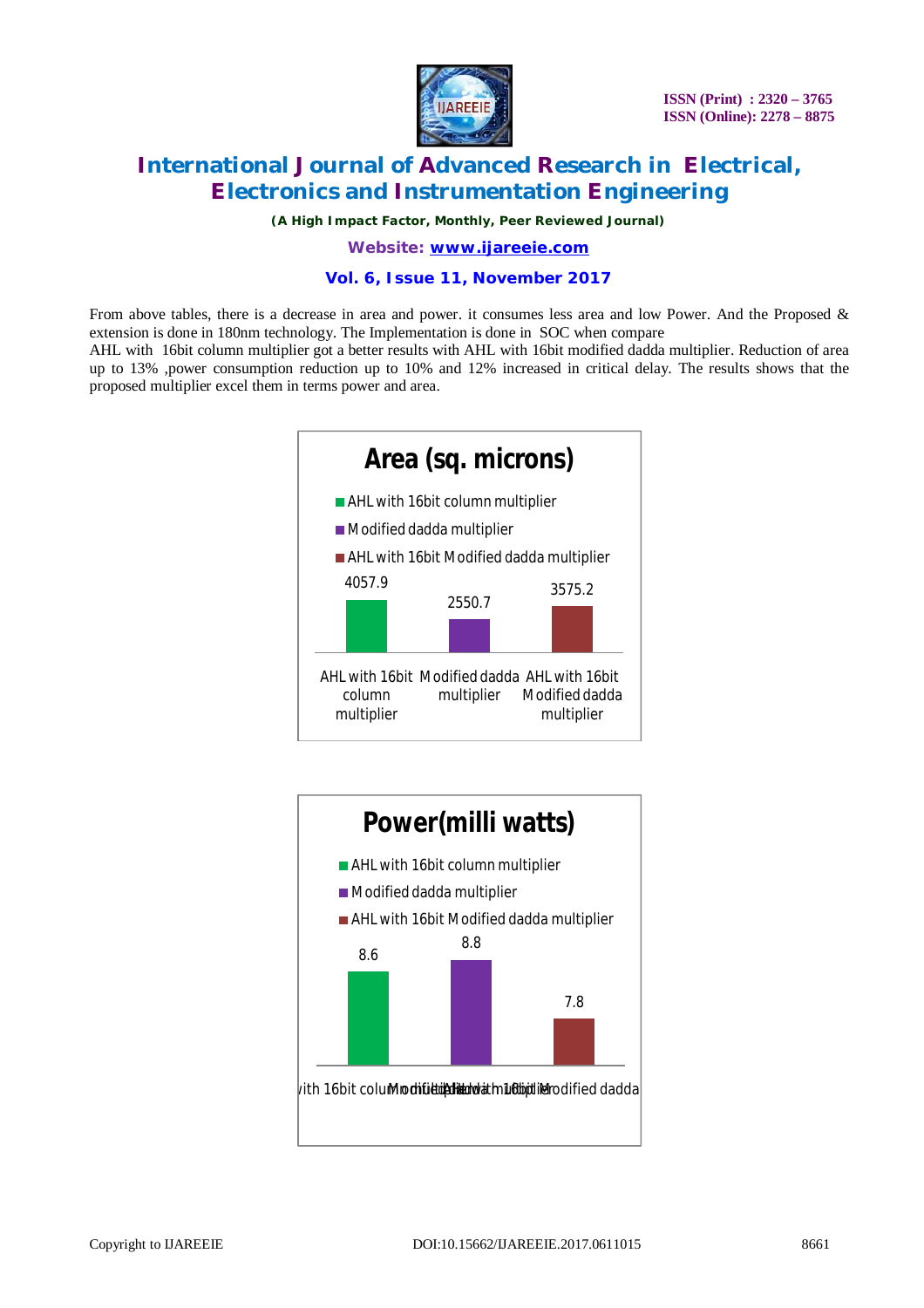

*(A High Impact Factor, Monthly, Peer Reviewed Journal)*

*Website: [www.ijareeie.com](http://www.ijareeie.com)*

### **Vol. 6, Issue 11, November 2017**

From above tables, there is a decrease in area and power. it consumes less area and low Power. And the Proposed & extension is done in 180nm technology. The Implementation is done in SOC when compare

AHL with 16bit column multiplier got a better results with AHL with 16bit modified dadda multiplier. Reduction of area up to 13% ,power consumption reduction up to 10% and 12% increased in critical delay. The results shows that the proposed multiplier excel them in terms power and area.



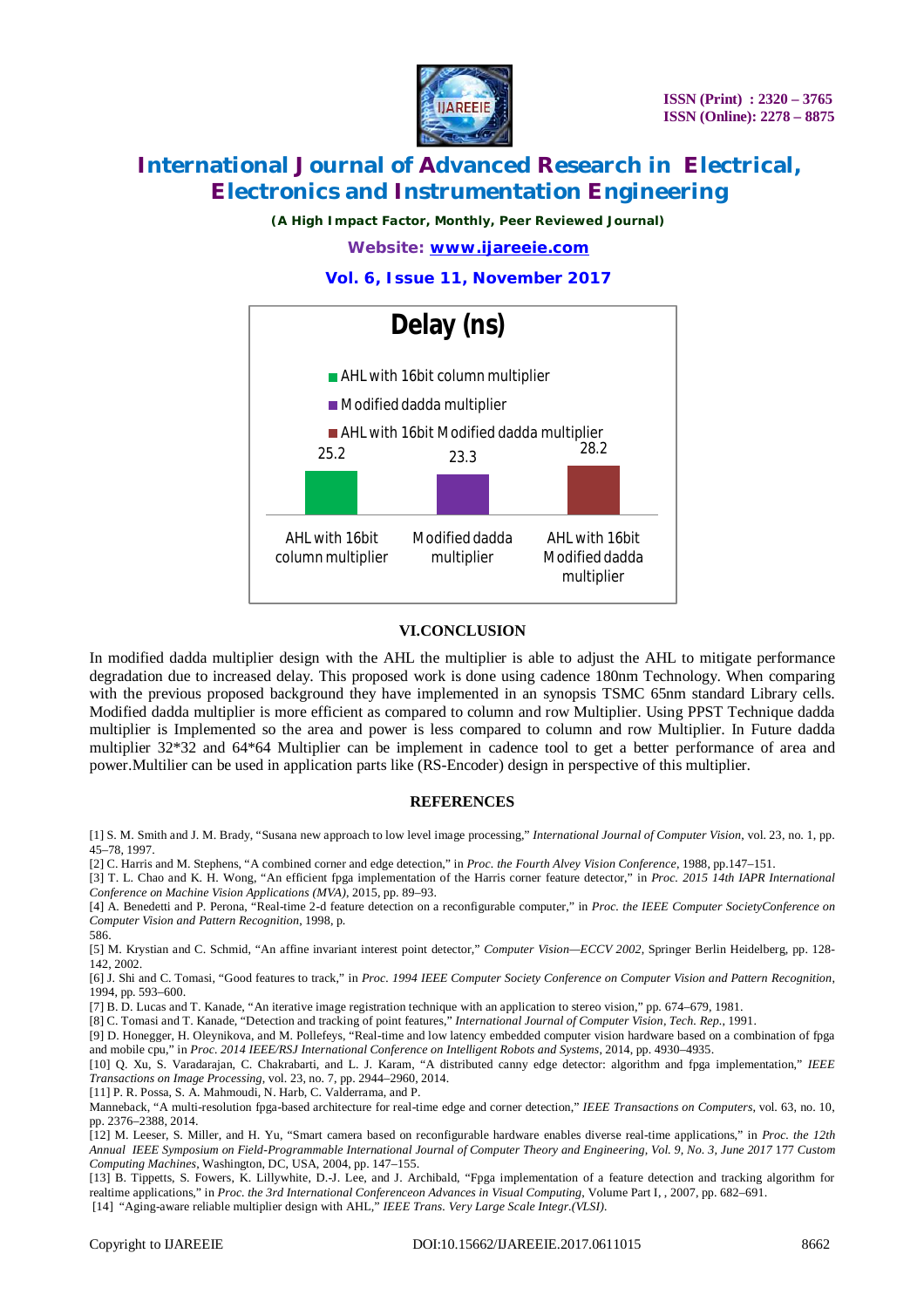

*(A High Impact Factor, Monthly, Peer Reviewed Journal)*

*Website: [www.ijareeie.com](http://www.ijareeie.com)*

**Vol. 6, Issue 11, November 2017**



#### **VI.CONCLUSION**

In modified dadda multiplier design with the AHL the multiplier is able to adjust the AHL to mitigate performance degradation due to increased delay. This proposed work is done using cadence 180nm Technology. When comparing with the previous proposed background they have implemented in an synopsis TSMC 65nm standard Library cells. Modified dadda multiplier is more efficient as compared to column and row Multiplier. Using PPST Technique dadda multiplier is Implemented so the area and power is less compared to column and row Multiplier. In Future dadda multiplier 32\*32 and 64\*64 Multiplier can be implement in cadence tool to get a better performance of area and power.Multilier can be used in application parts like (RS-Encoder) design in perspective of this multiplier.

#### **REFERENCES**

[1] S. M. Smith and J. M. Brady, "Susana new approach to low level image processing," *International Journal of Computer Vision*, vol. 23, no. 1, pp. 45–78, 1997.

[2] C. Harris and M. Stephens, "A combined corner and edge detection," in *Proc. the Fourth Alvey Vision Conference*, 1988, pp.147–151.

[3] T. L. Chao and K. H. Wong, "An efficient fpga implementation of the Harris corner feature detector," in *Proc. 2015 14th IAPR International Conference on Machine Vision Applications (MVA)*, 2015, pp. 89–93.

[4] A. Benedetti and P. Perona, "Real-time 2-d feature detection on a reconfigurable computer," in *Proc. the IEEE Computer SocietyConference on Computer Vision and Pattern Recognition*, 1998, p.

[5] M. Krystian and C. Schmid, "An affine invariant interest point detector," *Computer Vision—ECCV 2002*, Springer Berlin Heidelberg, pp. 128- 142, 2002.

[6] J. Shi and C. Tomasi, "Good features to track," in *Proc. 1994 IEEE Computer Society Conference on Computer Vision and Pattern Recognition*, 1994, pp. 593–600.

[7] B. D. Lucas and T. Kanade, "An iterative image registration technique with an application to stereo vision," pp. 674–679, 1981.

[8] C. Tomasi and T. Kanade, "Detection and tracking of point features," *International Journal of Computer Vision, Tech. Rep.*, 1991.

[9] D. Honegger, H. Oleynikova, and M. Pollefeys, "Real-time and low latency embedded computer vision hardware based on a combination of fpga and mobile cpu," in *Proc. 2014 IEEE/RSJ International Conference on Intelligent Robots and Systems*, 2014, pp. 4930–4935.

[10] Q. Xu, S. Varadarajan, C. Chakrabarti, and L. J. Karam, "A distributed canny edge detector: algorithm and fpga implementation," *IEEE Transactions on Image Processing*, vol. 23, no. 7, pp. 2944–2960, 2014.

[11] P. R. Possa, S. A. Mahmoudi, N. Harb, C. Valderrama, and P.

Manneback, "A multi-resolution fpga-based architecture for real-time edge and corner detection," *IEEE Transactions on Computers*, vol. 63, no. 10, pp. 2376–2388, 2014.

[12] M. Leeser, S. Miller, and H. Yu, "Smart camera based on reconfigurable hardware enables diverse real-time applications," in *Proc. the 12th Annual IEEE Symposium on Field-Programmable International Journal of Computer Theory and Engineering, Vol. 9, No. 3, June 2017* 177 *Custom Computing Machines*, Washington, DC, USA, 2004, pp. 147–155.

[13] B. Tippetts, S. Fowers, K. Lillywhite, D.-J. Lee, and J. Archibald, "Fpga implementation of a feature detection and tracking algorithm for realtime applications," in *Proc. the 3rd International Conferenceon Advances in Visual Computing*, Volume Part I, , 2007, pp. 682–691.

[14] "Aging-aware reliable multiplier design with AHL," *IEEE Trans. Very Large Scale Integr.(VLSI).*

586.